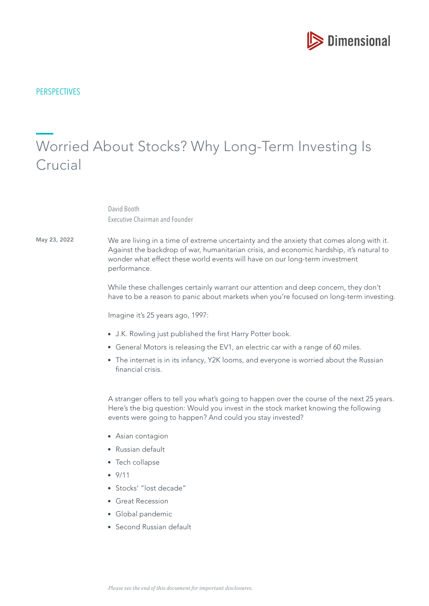

## **PERSPECTIVES**

# Worried About Stocks? Why Long-Term Investing Is Crucial

David Booth Executive Chairman and Founder

May 23, 2022

We are living in a time of extreme uncertainty and the anxiety that comes along with it. Against the backdrop of war, humanitarian crisis, and economic hardship, it's natural to wonder what effect these world events will have on our long-term investment performance.

While these challenges certainly warrant our attention and deep concern, they don't have to be a reason to panic about markets when you're focused on long-term investing.

Imagine it's 25 years ago, 1997:

- J.K. Rowling just published the frst Harry Potter book.
- General Motors is releasing the EV1, an electric car with a range of 60 miles.
- The internet is in its infancy, Y2K looms, and everyone is worried about the Russian financial crisis.

A stranger offers to tell you what's going to happen over the course of the next 25 years. Here's the big question: Would you invest in the stock market knowing the following events were going to happen? And could you stay invested?

- Asian contagion
- Russian default
- Tech collapse
- $9/11$
- Stocks' "lost decade"
- **Great Recession**
- Global pandemic
- Second Russian default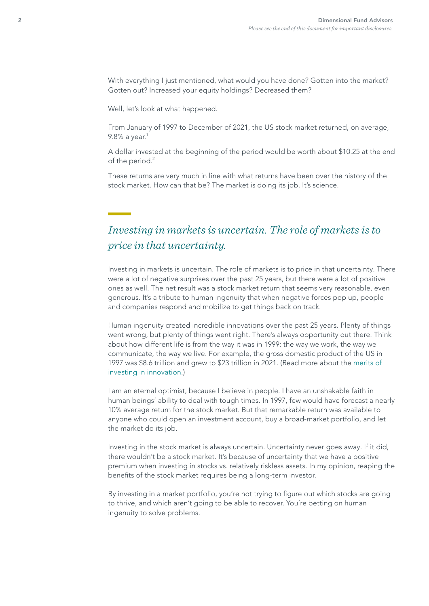With everything I just mentioned, what would you have done? Gotten into the market? Gotten out? Increased your equity holdings? Decreased them?

Well, let's look at what happened.

From January of 1997 to December of 2021, the US stock market returned, on average, 9.8% a year. $1$ 

A dollar invested at the beginning of the period would be worth about \$10.25 at the end of the period.<sup>2</sup>

These returns are very much in line with what returns have been over the history of the stock market. How can that be? The market is doing its job. It's science.

# *Investing in markets is uncertain. The role of markets is to price in that uncertainty.*

Investing in markets is uncertain. The role of markets is to price in that uncertainty. There were a lot of negative surprises over the past 25 years, but there were a lot of positive ones as well. The net result was a stock market return that seems very reasonable, even generous. It's a tribute to human ingenuity that when negative forces pop up, people and companies respond and mobilize to get things back on track.

Human ingenuity created incredible innovations over the past 25 years. Plenty of things went wrong, but plenty of things went right. There's always opportunity out there. Think about how different life is from the way it was in 1999: the way we work, the way we communicate, the way we live. For example, the gross domestic product of the US in 1997 was \$8.6 trillion and grew to \$23 trillion in 2021. (Read more about the [merits of](https://my.dimensional.com/meme-investing-try-human-ingenuity-instead)  [investing in innovation.](https://my.dimensional.com/meme-investing-try-human-ingenuity-instead))

I am an eternal optimist, because I believe in people. I have an unshakable faith in human beings' ability to deal with tough times. In 1997, few would have forecast a nearly 10% average return for the stock market. But that remarkable return was available to anyone who could open an investment account, buy a broad-market portfolio, and let the market do its job.

Investing in the stock market is always uncertain. Uncertainty never goes away. If it did, there wouldn't be a stock market. It's because of uncertainty that we have a positive premium when investing in stocks vs. relatively riskless assets. In my opinion, reaping the benefts of the stock market requires being a long-term investor.

By investing in a market portfolio, you're not trying to figure out which stocks are going to thrive, and which aren't going to be able to recover. You're betting on human ingenuity to solve problems.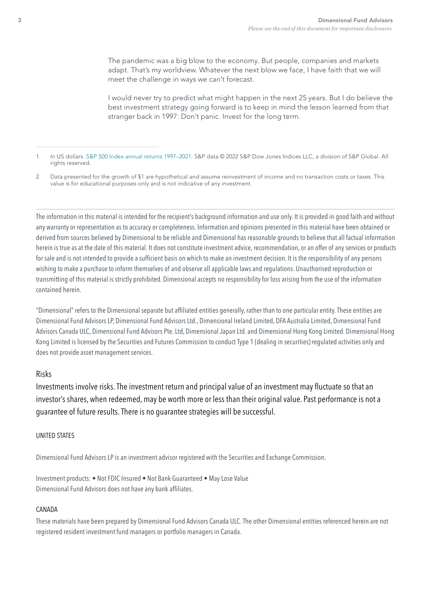The pandemic was a big blow to the economy. But people, companies and markets adapt. That's my worldview. Whatever the next blow we face, I have faith that we will meet the challenge in ways we can't forecast.

I would never try to predict what might happen in the next 25 years. But I do believe the best investment strategy going forward is to keep in mind the lesson learned from that stranger back in 1997: Don't panic. Invest for the long term.

The information in this material is intended for the recipient's background information and use only. It is provided in good faith and without any warranty or representation as to accuracy or completeness. Information and opinions presented in this material have been obtained or derived from sources believed by Dimensional to be reliable and Dimensional has reasonable grounds to believe that all factual information herein is true as at the date of this material. It does not constitute investment advice, recommendation, or an offer of any services or products for sale and is not intended to provide a sufficient basis on which to make an investment decision. It is the responsibility of any persons wishing to make a purchase to inform themselves of and observe all applicable laws and regulations. Unauthorised reproduction or transmitting of this material is strictly prohibited. Dimensional accepts no responsibility for loss arising from the use of the information contained herein.

"Dimensional" refers to the Dimensional separate but affliated entities generally, rather than to one particular entity. These entities are Dimensional Fund Advisors LP, Dimensional Fund Advisors Ltd., Dimensional Ireland Limited, DFA Australia Limited, Dimensional Fund Advisors Canada ULC, Dimensional Fund Advisors Pte. Ltd, Dimensional Japan Ltd. and Dimensional Hong Kong Limited. Dimensional Hong Kong Limited is licensed by the Securities and Futures Commission to conduct Type 1 (dealing in securities) regulated activities only and does not provide asset management services.

## Risks

Investments involve risks. The investment return and principal value of an investment may fuctuate so that an investor's shares, when redeemed, may be worth more or less than their original value. Past performance is not a guarantee of future results. There is no guarantee strategies will be successful.

#### UNITED STATES

Dimensional Fund Advisors LP is an investment advisor registered with the Securities and Exchange Commission.

Investment products: • Not FDIC Insured • Not Bank Guaranteed • May Lose Value Dimensional Fund Advisors does not have any bank affliates.

#### CANADA

These materials have been prepared by Dimensional Fund Advisors Canada ULC. The other Dimensional entities referenced herein are not registered resident investment fund managers or portfolio managers in Canada.

<sup>1.</sup> In US dollars. S&P 500 Index annual returns 1997–2021. S&P data © 2022 S&P Dow Jones Indices LLC, a division of S&P Global. All rights reserved.

<sup>2.</sup> Data presented for the growth of \$1 are hypothetical and assume reinvestment of income and no transaction costs or taxes. This value is for educational purposes only and is not indicative of any investment.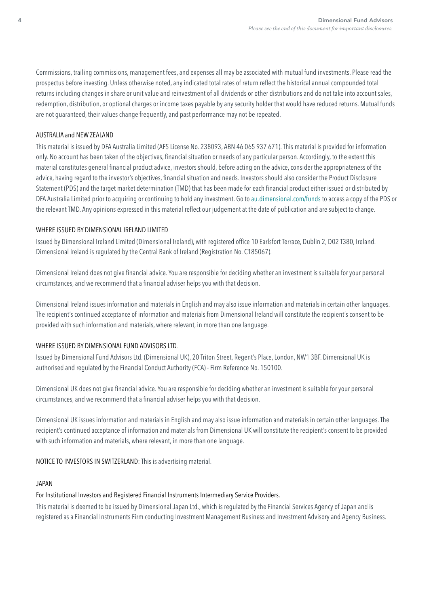Commissions, trailing commissions, management fees, and expenses all may be associated with mutual fund investments. Please read the prospectus before investing. Unless otherwise noted, any indicated total rates of return refect the historical annual compounded total returns including changes in share or unit value and reinvestment of all dividends or other distributions and do not take into account sales, redemption, distribution, or optional charges or income taxes payable by any security holder that would have reduced returns. Mutual funds are not guaranteed, their values change frequently, and past performance may not be repeated.

#### AUSTRALIA and NEW ZEALAND

This material is issued by DFA Australia Limited (AFS License No. 238093, ABN 46 065 937 671). This material is provided for information only. No account has been taken of the objectives, fnancial situation or needs of any particular person. Accordingly, to the extent this material constitutes general fnancial product advice, investors should, before acting on the advice, consider the appropriateness of the advice, having regard to the investor's objectives, fnancial situation and needs. Investors should also consider the Product Disclosure Statement (PDS) and the target market determination (TMD) that has been made for each fnancial product either issued or distributed by DFA Australia Limited prior to acquiring or continuing to hold any investment. Go to [au.dimensional.com/funds](https://au.dimensional.com/funds) to access a copy of the PDS or the relevant TMD. Any opinions expressed in this material refect our judgement at the date of publication and are subject to change.

#### WHERE ISSUED BY DIMENSIONAL IRELAND LIMITED

Issued by Dimensional Ireland Limited (Dimensional Ireland), with registered office 10 Earlsfort Terrace, Dublin 2, D02 T380, Ireland. Dimensional Ireland is regulated by the Central Bank of Ireland (Registration No. C185067).

Dimensional Ireland does not give fnancial advice. You are responsible for deciding whether an investment is suitable for your personal circumstances, and we recommend that a fnancial adviser helps you with that decision.

Dimensional Ireland issues information and materials in English and may also issue information and materials in certain other languages. The recipient's continued acceptance of information and materials from Dimensional Ireland will constitute the recipient's consent to be provided with such information and materials, where relevant, in more than one language.

#### WHERE ISSUED BY DIMENSIONAL FUND ADVISORS LTD.

Issued by Dimensional Fund Advisors Ltd. (Dimensional UK), 20 Triton Street, Regent's Place, London, NW1 3BF. Dimensional UK is authorised and regulated by the Financial Conduct Authority (FCA) - Firm Reference No. 150100.

Dimensional UK does not give fnancial advice. You are responsible for deciding whether an investment is suitable for your personal circumstances, and we recommend that a fnancial adviser helps you with that decision.

Dimensional UK issues information and materials in English and may also issue information and materials in certain other languages. The recipient's continued acceptance of information and materials from Dimensional UK will constitute the recipient's consent to be provided with such information and materials, where relevant, in more than one language.

NOTICE TO INVESTORS IN SWITZERLAND: This is advertising material.

#### JAPAN

# For Institutional Investors and Registered Financial Instruments Intermediary Service Providers.

This material is deemed to be issued by Dimensional Japan Ltd., which is regulated by the Financial Services Agency of Japan and is registered as a Financial Instruments Firm conducting Investment Management Business and Investment Advisory and Agency Business.